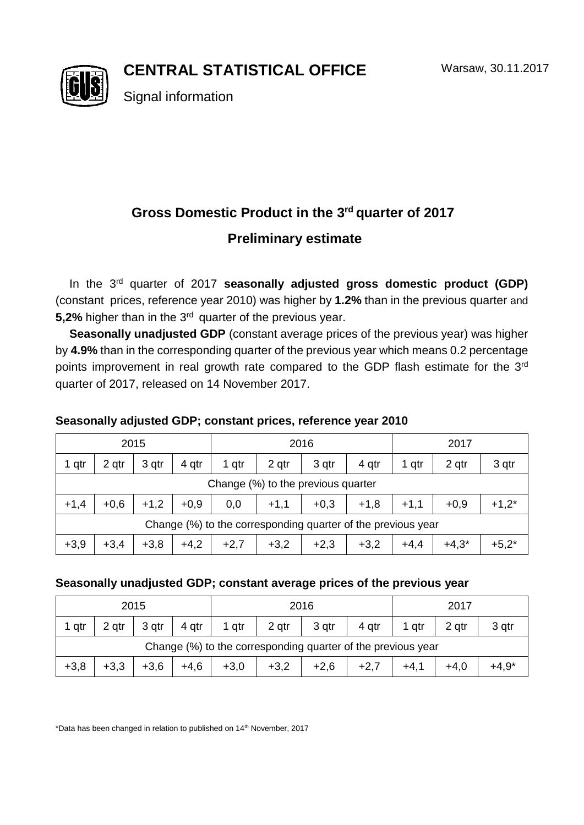**CENTRAL STATISTICAL OFFICE**



Signal information

# **Gross Domestic Product in the 3 rd quarter of 2017 Preliminary estimate**

In the 3<sup>rd</sup> quarter of 2017 **seasonally adjusted gross domestic product (GDP)** (constant prices, reference year 2010) was higher by **1.2%** than in the previous quarter and **5,2%** higher than in the 3<sup>rd</sup> quarter of the previous year.

**Seasonally unadjusted GDP** (constant average prices of the previous year) was higher by **4.9%** than in the corresponding quarter of the previous year which means 0.2 percentage points improvement in real growth rate compared to the GDP flash estimate for the  $3^{rd}$ quarter of 2017, released on 14 November 2017.

## **Seasonally adjusted GDP; constant prices, reference year 2010**

| 2015                                                         |        |        |        | 2016   |        |        |        | 2017   |         |         |  |
|--------------------------------------------------------------|--------|--------|--------|--------|--------|--------|--------|--------|---------|---------|--|
| 1 qtr                                                        | 2 gtr  | 3 qtr  | 4 qtr  | 1 qtr  | 2 qtr  | 3 qtr  | 4 qtr  | 1 qtr  | 2 qtr   | 3 qtr   |  |
| Change (%) to the previous quarter                           |        |        |        |        |        |        |        |        |         |         |  |
| $+1,4$                                                       | $+0,6$ | $+1,2$ | $+0,9$ | 0,0    | $+1,1$ | $+0,3$ | $+1,8$ | $+1,1$ | $+0,9$  | $+1,2*$ |  |
| Change (%) to the corresponding quarter of the previous year |        |        |        |        |        |        |        |        |         |         |  |
| $+3,9$                                                       | $+3,4$ | $+3,8$ | $+4,2$ | $+2,7$ | $+3,2$ | $+2,3$ | $+3,2$ | $+4,4$ | $+4,3*$ | $+5,2*$ |  |

### **Seasonally unadjusted GDP; constant average prices of the previous year**

| 2015                                                         |        |        |        | 2016   |        |        |        | 2017   |        |         |
|--------------------------------------------------------------|--------|--------|--------|--------|--------|--------|--------|--------|--------|---------|
| qtr                                                          | 2 gtr  | 3 gtr  | 4 qtr  | 1 gtr  | 2 qtr  | 3 qtr  | 4 gtr  | 1 gtr  | 2 qtr  | 3 gtr   |
| Change (%) to the corresponding quarter of the previous year |        |        |        |        |        |        |        |        |        |         |
| $+3,8$                                                       | $+3,3$ | $+3,6$ | $+4,6$ | $+3.0$ | $+3,2$ | $+2,6$ | $+2,7$ | $+4,1$ | $+4.0$ | $+4.9*$ |

\*Data has been changed in relation to published on 14th November, 2017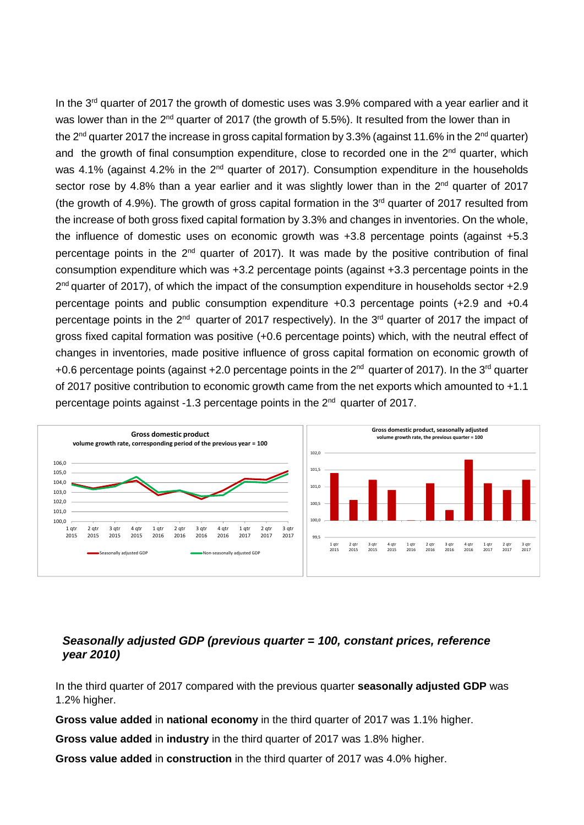In the 3<sup>rd</sup> quarter of 2017 the growth of domestic uses was 3.9% compared with a year earlier and it was lower than in the 2<sup>nd</sup> quarter of 2017 (the growth of 5.5%). It resulted from the lower than in the 2<sup>nd</sup> quarter 2017 the increase in gross capital formation by 3.3% (against 11.6% in the 2<sup>nd</sup> quarter) and the growth of final consumption expenditure, close to recorded one in the  $2<sup>nd</sup>$  quarter, which was 4.1% (against 4.2% in the 2<sup>nd</sup> quarter of 2017). Consumption expenditure in the households sector rose by 4.8% than a year earlier and it was slightly lower than in the 2<sup>nd</sup> quarter of 2017 (the growth of 4.9%). The growth of gross capital formation in the  $3<sup>rd</sup>$  quarter of 2017 resulted from the increase of both gross fixed capital formation by 3.3% and changes in inventories. On the whole, the influence of domestic uses on economic growth was +3.8 percentage points (against +5.3 percentage points in the  $2<sup>nd</sup>$  quarter of 2017). It was made by the positive contribution of final consumption expenditure which was +3.2 percentage points (against +3.3 percentage points in the 2<sup>nd</sup> quarter of 2017), of which the impact of the consumption expenditure in households sector +2.9 percentage points and public consumption expenditure +0.3 percentage points (+2.9 and +0.4 percentage points in the  $2<sup>nd</sup>$  quarter of 2017 respectively). In the 3<sup>rd</sup> quarter of 2017 the impact of gross fixed capital formation was positive (+0.6 percentage points) which, with the neutral effect of changes in inventories, made positive influence of gross capital formation on economic growth of +0.6 percentage points (against +2.0 percentage points in the  $2^{nd}$  quarter of 2017). In the 3<sup>rd</sup> quarter of 2017 positive contribution to economic growth came from the net exports which amounted to +1.1 percentage points against -1.3 percentage points in the 2<sup>nd</sup> quarter of 2017.



#### *Seasonally adjusted GDP (previous quarter = 100, constant prices, reference year 2010)*

In the third quarter of 2017 compared with the previous quarter **seasonally adjusted GDP** was 1.2% higher.

**Gross value added** in **national economy** in the third quarter of 2017 was 1.1% higher.

**Gross value added** in **industry** in the third quarter of 2017 was 1.8% higher.

**Gross value added** in **construction** in the third quarter of 2017 was 4.0% higher.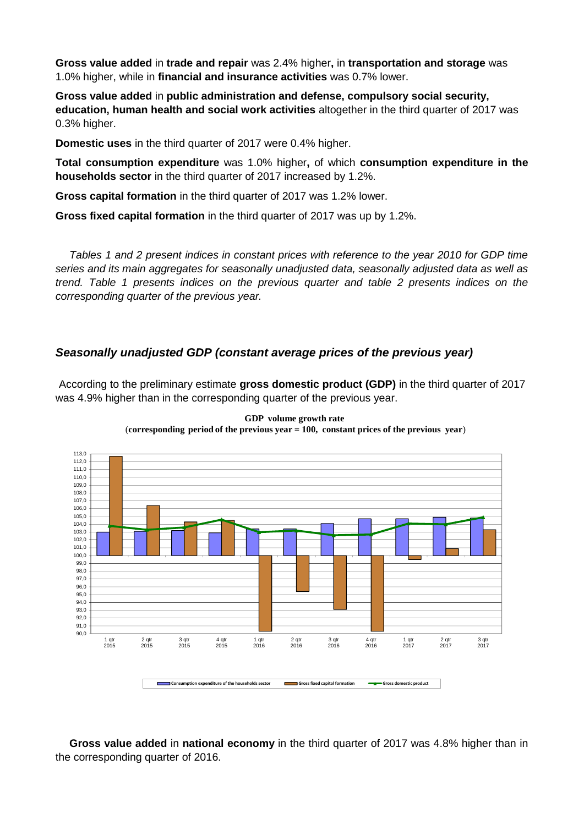**Gross value added** in **trade and repair** was 2.4% higher**,** in **transportation and storage** was 1.0% higher, while in **financial and insurance activities** was 0.7% lower.

**Gross value added** in **public administration and defense, compulsory social security, education, human health and social work activities** altogether in the third quarter of 2017 was 0.3% higher.

**Domestic uses** in the third quarter of 2017 were 0.4% higher.

**Total consumption expenditure** was 1.0% higher**,** of which **consumption expenditure in the households sector** in the third quarter of 2017 increased by 1.2%.

**Gross capital formation** in the third quarter of 2017 was 1.2% lower.

**Gross fixed capital formation** in the third quarter of 2017 was up by 1.2%.

*Tables 1 and 2 present indices in constant prices with reference to the year 2010 for GDP time series and its main aggregates for seasonally unadjusted data, seasonally adjusted data as well as trend. Table 1 presents indices on the previous quarter and table 2 presents indices on the corresponding quarter of the previous year.* 

#### *Seasonally unadjusted GDP (constant average prices of the previous year)*

According to the preliminary estimate **gross domestic product (GDP)** in the third quarter of 2017 was 4.9% higher than in the corresponding quarter of the previous year.



**GDP volume growth rate** (**corresponding period of the previous year = 100, constant prices of the previous year**)

**Gross value added** in **national economy** in the third quarter of 2017 was 4.8% higher than in the corresponding quarter of 2016.